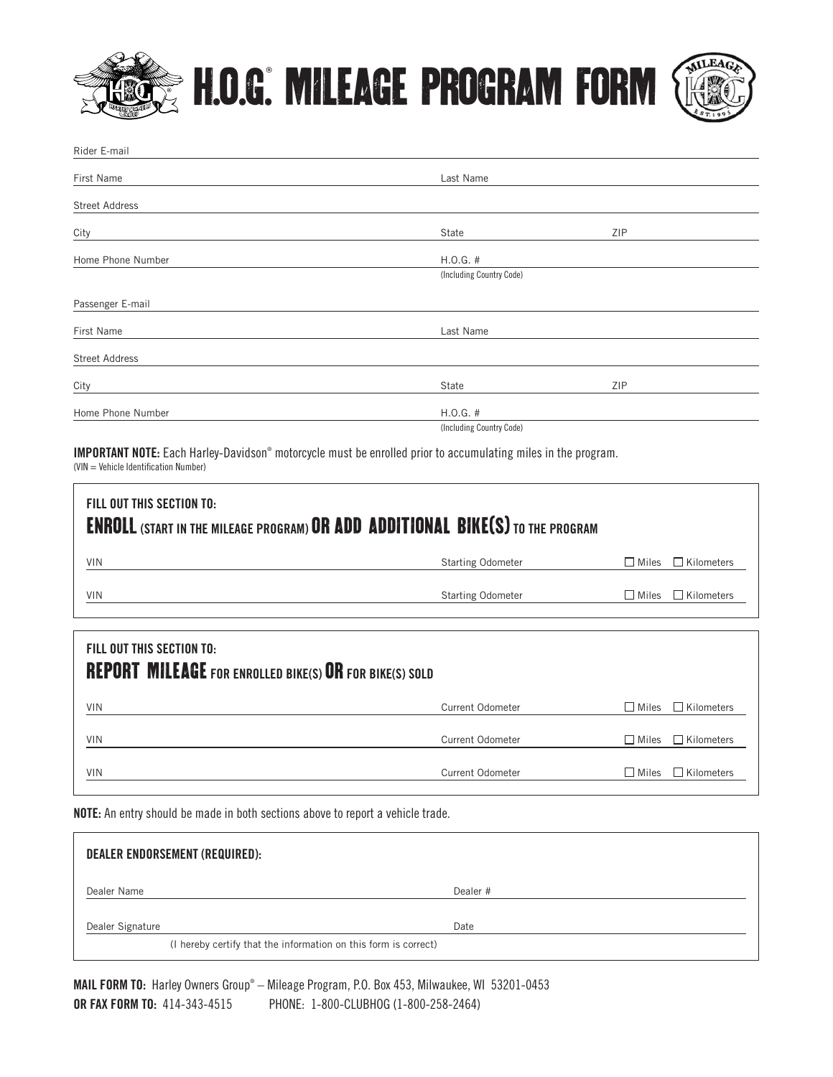

## H.O.G.® MILEAGE PROGRAM FORM



| Rider E-mail          |                          |     |  |
|-----------------------|--------------------------|-----|--|
| First Name            | Last Name                |     |  |
| <b>Street Address</b> |                          |     |  |
| City                  | State                    | ZIP |  |
| Home Phone Number     | $H.0.G.$ #               |     |  |
|                       | (Including Country Code) |     |  |
| Passenger E-mail      |                          |     |  |
| First Name            | Last Name                |     |  |
| <b>Street Address</b> |                          |     |  |
| City                  | State                    | ZIP |  |
| Home Phone Number     | $H.0.G.$ #               |     |  |
|                       | (Including Country Code) |     |  |

IMPORTANT NOTE: Each Harley-Davidson® motorcycle must be enrolled prior to accumulating miles in the program. (VIN = Vehicle Identification Number)

| FILL OUT THIS SECTION TO:<br><b>ENROLL (START IN THE MILEAGE PROGRAM) OR ADD ADDITIONAL BIKE(S) TO THE PROGRAM</b> |                          |                                   |  |  |  |
|--------------------------------------------------------------------------------------------------------------------|--------------------------|-----------------------------------|--|--|--|
| <b>VIN</b>                                                                                                         | <b>Starting Odometer</b> | $\Box$ Kilometers<br>$\Box$ Miles |  |  |  |
| <b>VIN</b>                                                                                                         | <b>Starting Odometer</b> | $\Box$ Kilometers<br>$\Box$ Miles |  |  |  |
|                                                                                                                    |                          |                                   |  |  |  |
| FILL OUT THIS SECTION TO:<br><b>REPORT MILEAGE</b> FOR ENROLLED BIKE(S) OR FOR BIKE(S) SOLD                        |                          |                                   |  |  |  |
| <b>VIN</b>                                                                                                         | Current Odometer         | $\Box$ Kilometers<br>$\Box$ Miles |  |  |  |
| <b>VIN</b>                                                                                                         | Current Odometer         | $\Box$ Kilometers<br>$\Box$ Miles |  |  |  |
| <b>VIN</b>                                                                                                         | Current Odometer         | $\Box$ Kilometers<br>$\Box$ Miles |  |  |  |

**NOTE:** An entry should be made in both sections above to report a vehicle trade.

| DEALER ENDORSEMENT (REQUIRED):                                  |          |  |
|-----------------------------------------------------------------|----------|--|
| Dealer Name                                                     | Dealer # |  |
| Dealer Signature                                                | Date     |  |
| (I hereby certify that the information on this form is correct) |          |  |

**MAIL FORM TO:** Harley Owners Group® – Mileage Program, P.O. Box 453, Milwaukee, WI 53201-0453 **OR FAX FORM TO:** 414-343-4515 PHONE: 1-800-CLUBHOG (1-800-258-2464)